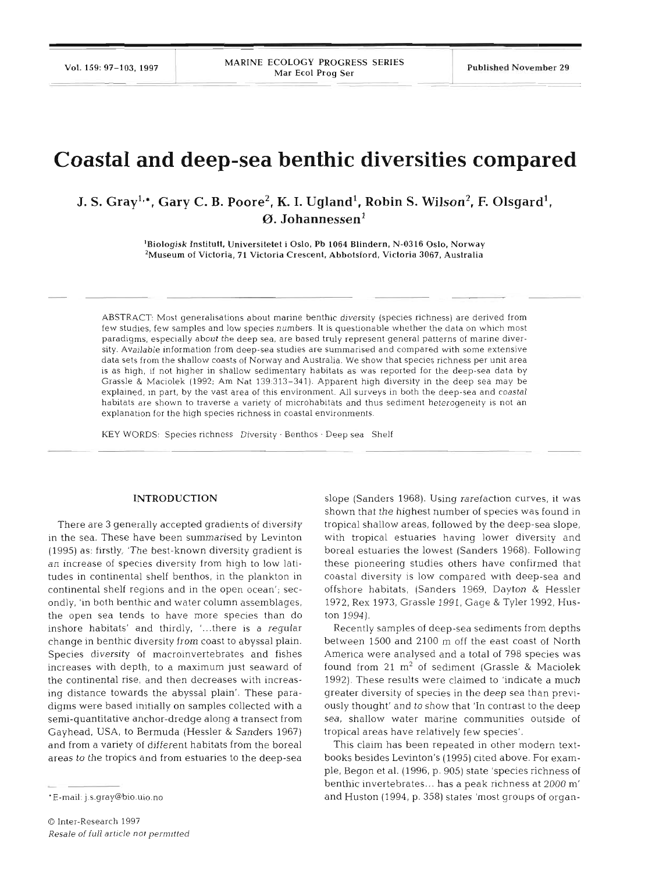# **Coastal and deep-sea benthic diversities compared**

# J. S. Gray<sup>1,\*</sup>, Gary C. B. Poore<sup>2</sup>, K. I. Ugland<sup>1</sup>, Robin S. Wilson<sup>2</sup>, F. Olsgard<sup>1</sup>, **0. Johannessen'**

'Biologisk Institutt. Universitetet i Oslo, Pb **1064** Blindern, **N-0316** Oslo, Norway \*Museum of Victoria, **71** Victoria Crescent, Abbotsford, Victoria **3067,** Australia

ABSTRACT: Most generalisations about marine benthic diversity (species richness) are derived from few studies, few samples and low species numbers. It is questionable whether the data on which most paradigms, especially about the deep sea, are based truly represent general patterns of marine diversity. Available information from deep-sea studies are summarised and compared with some extensive data sets from the shallow coasts of Norway and Australia. We show that species richness per unit area is as hlgh, if not higher in shallow sedimentary habitats as was reported for the deep-sea data by Grassle & Maciolek (1992; Am Nat 139 313-341). Apparent high diversity in the deep sea may be explained, In part, by the vast area of this environment. All surveys in both the deep-sea and coastal habitats are shown to traverse a variety of microhabitats and thus sediment heterogeneity is not an explanation for the high species richness in coastal environments.

KEY WORDS: Species richness Diversity . Benthos . Deep sea Shelf

#### **INTRODUCTION**

There are **3** generally accepted gradients of diversity in the sea. These have been summarised by Levinton (1995) as: firstly, 'The best-known diversity gradient is an increase of species diversity from high to low latitudes in continental shelf benthos, in the plankton in continental shelf regions and in the open ocean'; secondly, 'in both benthic and water column assemblages, the open sea tends to have more species than do inshore habitats' and thirdly, '...there is a regular change in benthic diversity from coast to abyssal plain. Species diversity of macroinvertebrates and fishes increases with depth, to a maximum just seaward of the continental rise, and then decreases with increasing distance towards the abyssal plain'. These paradigms were based initially on samples collected with a semi-quantitative anchor-dredge along a transect from Gayhead, USA, to Bermuda (Hessler & Sanders 1967) and from a variety of different habitats from the boreal areas to the tropics and from estuaries to the deep-sea

slope (Sanders 1968). Using rarefaction curves, it was shown that the highest number of species was found in tropical shallow areas, followed by the deep-sea slope, with tropical estuaries having lower diversity and boreal estuaries the lowest (Sanders 1968). Following these pioneering studies others have confirmed that coastal diversity is low compared with deep-sea and offshore habitats, (Sanders 1969, Dayton & Hessler 1972, Rex 1973, Grassle 1991, Gage & Tyler 1992, Huston 1994).

Recently samples of deep-sea sediments from depths between 1500 and 2100 m off the east coast of North America were analysed and a total of 798 species was found from 21  $m^2$  of sediment (Grassle & Maciolek 1992). These results were claimed to 'indicate a much greater diversity of species in the deep sea than previously thought' and to show that 'In contrast to the deep sea, shallow water marine communities outside of tropical areas have relatively few species'.

This claim has been repeated in other modern textbooks besides Levinton's (1995) cited above. For example, Begon et al. (1996, p. 905) state 'species richness of benthic invertebrates ... has a peak richness at 2000 m' and Huston (1994, p. 358) states 'most groups of organ-

<sup>&#</sup>x27;E-mail: j.s.gray@bio.uio.no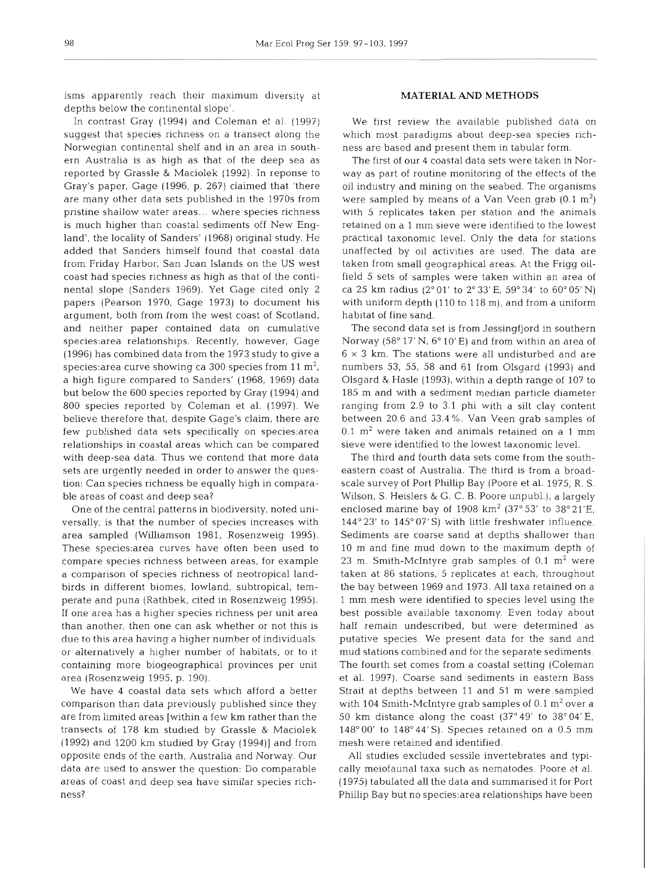isms apparently reach their maximum diversity at depths below the continental slope'.

In contrast Gray (1994) and Coleman et al. (1997) suggest that species richness on a transect along the Norwegian continental shelf and in an area in southern Australia is as high as that of the deep sea as reported by Grassle & Maciolek (1992). In reponse to Gray's paper, Gage (1996, p. 267) claimed that 'there are many other data sets published in the 1970s from pristine shallow water areas... where species richness is much higher than coastal sediments off New England', the locality of Sanders' (1968) original study. He added that Sanders himself found that coastal data from Friday Harbor, San Juan Islands on the US west coast had species richness as high as that of the continental slope (Sanders 1969). Yet Gage cited only 2 papers (Pearson 1970. Gage 1973) to document his argument, both from from the west coast of Scotland, and neither paper contained data on cumulative species:area relationships. Recently, however, Gage (1996) has combined data from the 1973 study to give a species: area curve showing ca 300 species from 11  $\text{m}^2$ , a high figure compared to Sanders' (1968, 1969) data but below the 600 species reported by Gray (1994) and 800 species reported by Coleman et al. (1997). We believe therefore that, despite Gage's claim, there are few published data sets specifically on species area relationships in coastal areas which can be compared with deep-sea data. Thus we contend that more data sets are urgently needed in order to answer the question: Can species richness be equally high in comparable areas of coast and deep sea?

One of the central patterns in biodiversity, noted universally, is that the number of species increases with area sampled (Williamson 1981, Rosenzweig 1995). These species:area curves have often been used to compare species richness between areas, for example a comparison of species richness of neotropical landbirds in different biomes, lowland, subtropical, temperate and puna (Rathbek, cited in Rosenzweig 1995). If one area has a higher species richness per unit area than another, then one can ask whether or not this is due to this area having a higher number of individuals, or alternatively a higher number of habitats, or to it containing more biogeographical provinces per unit area (Rosenzweig 1995, p. 190).

We have 4 coastal data sets which afford a better comparison than data previously published since they are from limited areas [within a few km rather than the transects of 178 km studied by Grassle & Maciolek  $(1992)$  and  $1200$  km studied by Gray  $(1994)$  and from opposite ends of the earth, Australia and Norway. Our data are used to answer the question: Do comparable areas of coast and deep sea have similar species richness?

## **MATERIAL AND METHODS**

We first review the available published data on which most paradigms about deep-sea species richness are based and present them in tabular form.

The first of our 4 coastal data sets were taken in Norway as part of routine monitoring of the effects of the oil industry and mining on the seabed. The organisms were sampled by means of a Van Veen grab  $(0.1 \text{ m}^2)$ with 5 replicates taken per station and the animals retained on a 1 mm sieve were identified to the lowest practical taxonomic level. Only the data for stations unaffected by oil activities are used. The data are taken from small geographical areas. At the Frigg oilfield 5 sets of samples were taken within an area of ca 25 km radius ( $2^{\circ}$  01' to  $2^{\circ}$  33' E, 59° 34' to 60° 05' N) with uniform depth (110 to 118 m), and from a uniform habitat of fine sand.

The second data set is from Jøssingfjord in southern Norway (58° 17' N, 6° 10' E) and from within an area of  $6 \times 3$  km. The stations were all undisturbed and are numbers 53, 55, 58 and 61 from Olsgard (1993) and Olsgard & Hasle (1993), within a depth range of 107 to 185 m and with a sediment median particle diameter ranging from 2.9 to 3.1 phi with a silt clay content between 20.6 and 33.4%. Van Veen grab samples of  $0.1$  m<sup>2</sup> were taken and animals retained on a 1 mm sieve were identified to the lowest taxonomic level.

The third and fourth data sets come from the southeastern coast of Australia. The third is from a broadscale survey of Port Phillip Bay (Poore et al. 1975, R. S. Wilson, S. Heislers & G. C. B. Poore unpubl.), a largely enclosed marine bay of  $1908 \text{ km}^2$  (37° 53' to 38° 21'E, 144° 23' to 145° 07' S) with little freshwater influence. Sediments are coarse sand at depths shallower than 10 m and fine mud down to the maximum depth of 23 m. Smith-McIntyre grab samples of  $0.1 \text{ m}^2$  were taken at 86 stations, 5 replicates at each, throughout the bay between 1969 and 1973. All taxa retained on a 1 mm mesh were identified to species level using the best possible available taxonomy. Even today about half remain undescribed, but were determined as putative species. We present data for the sand and mud stations combined and for the separate sediments. The fourth set comes from a coastal setting (Coleman et al. 1997). Coarse sand sediments in eastern Bass Strait at depths between **11** and 51 m were sampled with 104 Smith-McIntyre grab samples of  $0.1 \text{ m}^2$  over a 50 km distance along the coast  $(37°49'$  to  $38°04'E$ ,  $148^{\circ}00'$  to  $148^{\circ}44'$  S). Species retained on a 0.5 mm mesh were retained and identified.

All studies excluded sessile invertebrates and typically meiofaunal taxa such as nematodes. Poore et al. (1975) tabulated all the data and summarised it for Port Phillip Bay but no species:area relationships have been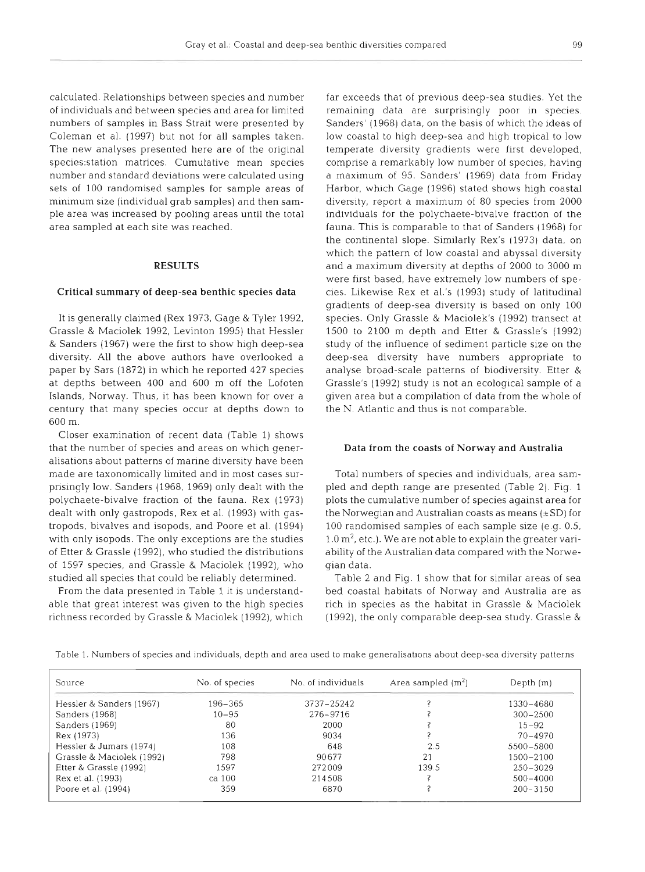calculated. Relationships between species and number of individuals and between species and area for limited numbers of samples in Bass Strait were presented by Coleman et al. (1997) but not for all samples taken. The new analyses presented here are of the original species:station matrices. Cumulative mean species number and standard deviations were calculated using sets of 100 randomised samples for sample areas of minimum size (individual grab samples) and then sample area was increased by pooling areas until the total area sampled at each site was reached.

# **RESULTS**

#### **Critical summary of deep-sea benthic species data**

It is generally claimed (Rex 1973, Gage & Tyler 1992, Grassle & Maciolek 1992, Levinton 1995) that Hessler & Sanders (1967) were the first to show hlgh deep-sea diversity. All the above authors have overlooked a paper by Sars (1872) in which he reported 427 species at depths between 400 and 600 m off the Lofoten Islands, Norway. Thus, it has been known for over a century that many species occur at depths down to 600 m.

Closer examination of recent data (Table 1) shows that the number of species and areas on which generalisations about patterns of marine diversity have been made are taxonomically limited and in most cases surpnsingly low. Sanders (1968, 1969) only dealt with the polychaete-bivalve fraction of the fauna. Rex (1973) dealt with only gastropods, Rex et al. (1993) with gastropods, bivalves and isopods, and Poore et al. (1994) with only isopods. The only exceptions are the studies of Etter & Grassle (1992), who studied the distributions of 1597 species, and Grassle & Maciolek (1992), who studied all species that could be reliably determined.

From the data presented in Table 1 it is understandable that great interest was given to the high species richness recorded by Grassle & Maciolek (1992), which

far exceeds that of previous deep-sea studies. Yet the remaining data are surprisingly poor in species. Sanders' (1968) data, on the basis of which the ideas of low coastal to high deep-sea and high tropical to low temperate diversity gradients were first developed, comprise a remarkably low number of species, having a maximum of 95. Sanders' (1969) data from Friday Harbor, which Gage (1996) stated shows high coastal diversity, report a maximum of 80 species from 2000 individuals for the polychaete-bivalve fraction of the fauna. This is comparable to that of Sanders (1968) for the continental slope. Similarly Rex's (1973) data, on which the pattern of low coastal and abyssal diversity and a maximum diversity at depths of 2000 to 3000 m were first based, have extremely low numbers of species. Likewise Rex et al.'s (1993) study of latitudinal gradients of deep-sea diversity is based on only 100 species. Only Grassle & Maciolek's (1992) transect at 1500 to 2100 m depth and Etter & Grassle's (1992) study of the influence of sediment particle size on the deep-sea diversity have numbers appropriate to analyse broad-scale patterns of biodiversity. Etter & Grassle's (1992) study is not an ecological sample of a given area but a compilation of data from the whole of the N. Atlantic and thus is not comparable.

### **Data from the coasts of Norway and Australia**

Total numbers of species and individuals, area sampled and depth range are presented (Table 2). Fig. 1 plots the cumulative number of species against area for the Norwegian and Australian coasts as means  $(\pm SD)$  for 100 randomised samples of each sample size (e.g. 0.5,  $1.0 \,\mathrm{m}^2$ , etc.). We are not able to explain the greater variability of the Australian data compared with the Norwegian data.

Table 2 and Fig. 1 show that for similar areas of sea bed coastal habitats of Norway and Australia are as rich in species as the habitat in Grassle & Maciolek (1992), the only comparable deep-sea study. Grassle  $&$ 

| Source                    | No. of species | No. of individuals | Area sampled $(m2)$ | Depth $(m)$  |  |
|---------------------------|----------------|--------------------|---------------------|--------------|--|
| Hessler & Sanders (1967)  | 196-365        | 3737-25242         |                     | 1330-4680    |  |
| Sanders (1968)            | $10 - 95$      | 276-9716           |                     | $300 - 2500$ |  |
| Sanders (1969)            | -80            | 2000               |                     | $15 - 92$    |  |
| Rex (1973)                | 136            | 9034               |                     | $70 - 4970$  |  |
| Hessler & Jumars (1974)   | 108            | 648                | 2.5                 | 5500-5800    |  |
| Grassle & Maciolek (1992) | 798            | 90677              | 21                  | 1500-2100    |  |
| Etter & Grassle (1992)    | 1597           | 272009             | 139.5               | $250 - 3029$ |  |
| Rex et al. (1993)         | ca 100         | 214508             |                     | $500 - 4000$ |  |
| Poore et al. (1994)       | 359            | 6870               |                     | $200 - 3150$ |  |

Table 1. Numbers of species and individuals, depth and area used to make generalisations about deep-sea diversity patterns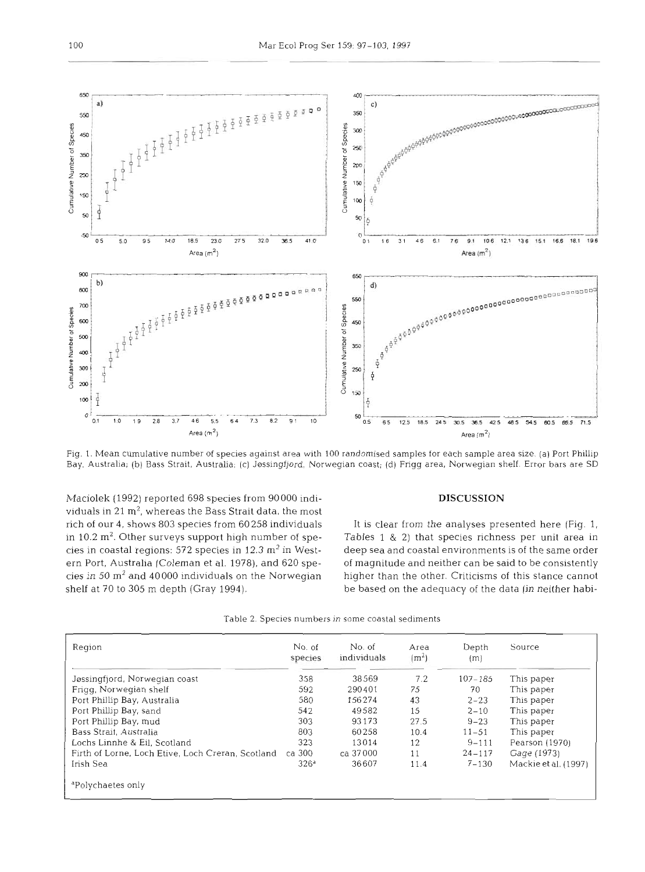

Fig. 1. Mean cumulative number of species against area with 100 randomised samples for each sample area size. (a) Port Phillip Bay. Australia; (b) Bass Strait, Australia; (c) Jassingfjord, Norwegian coast; (d) Frigg area, Norwegian shelf. Error bars are SD

Maciolek (1992) reported 698 species from 90000 individuals in 21 **m2,** whereas the Bass Strait data, the most rich of our 4, shows 803 species from 60258 individuals in  $10.2 \text{ m}^2$ . Other surveys support high number of species in coastal regions: 572 species in 12.3  $m<sup>2</sup>$  in Western Port, Australia (Coleman et al. 1978), and 620 species in 50  $\text{m}^2$  and 40000 individuals on the Norwegian shelf at 70 to 305 m depth (Gray 1994).

# **DISCUSSION**

It is clear from the analyses presented here (Fig. 1, Tables 1 & 2) that species richness per unit area in deep sea and coastal environments is of the same order of magnitude and neither can be said to be consistently higher than the other. Criticisms of this stance cannot be based on the adequacy of the data (in neither habi-

|  |  |  |  |  |  |  |  | Table 2. Species numbers in some coastal sediments |  |
|--|--|--|--|--|--|--|--|----------------------------------------------------|--|
|--|--|--|--|--|--|--|--|----------------------------------------------------|--|

| Region                                            | No. of<br>species | No. of<br>individuals | Area<br>(m <sup>2</sup> ) | Depth<br>(m) | Source               |  |
|---------------------------------------------------|-------------------|-----------------------|---------------------------|--------------|----------------------|--|
| Jøssingfjord, Norwegian coast                     | 358               | 38569                 | 7.2                       | $107 - 185$  | This paper           |  |
| Frigg, Norwegian shelf                            | 592               | 290401                | 75                        | 70           | This paper           |  |
| Port Phillip Bay, Australia                       | 580               | 156274                | 43                        | $2 - 23$     | This paper           |  |
| Port Phillip Bay, sand                            | 542               | 49582                 | 15                        | $2 - 10$     | This paper           |  |
| Port Phillip Bay, mud                             | 303               | 93173                 | 27.5                      | $9 - 23$     | This paper           |  |
| Bass Strait, Australia                            | 803               | 60258                 | 10.4                      | $11 - 51$    | This paper           |  |
| Lochs Linnhe & Eil, Scotland                      | 323               | 13014                 | 12                        | $9 - 111$    | Pearson (1970)       |  |
| Firth of Lorne, Loch Etive, Loch Creran, Scotland | ca 300            | ca 37000              | 11                        | $24 - 117$   | Gage (1973)          |  |
| Irish Sea                                         | 326 <sup>a</sup>  | 36607                 | 11.4                      | $7 - 130$    | Mackie et al. (1997) |  |
| <sup>a</sup> Polychaetes only                     |                   |                       |                           |              |                      |  |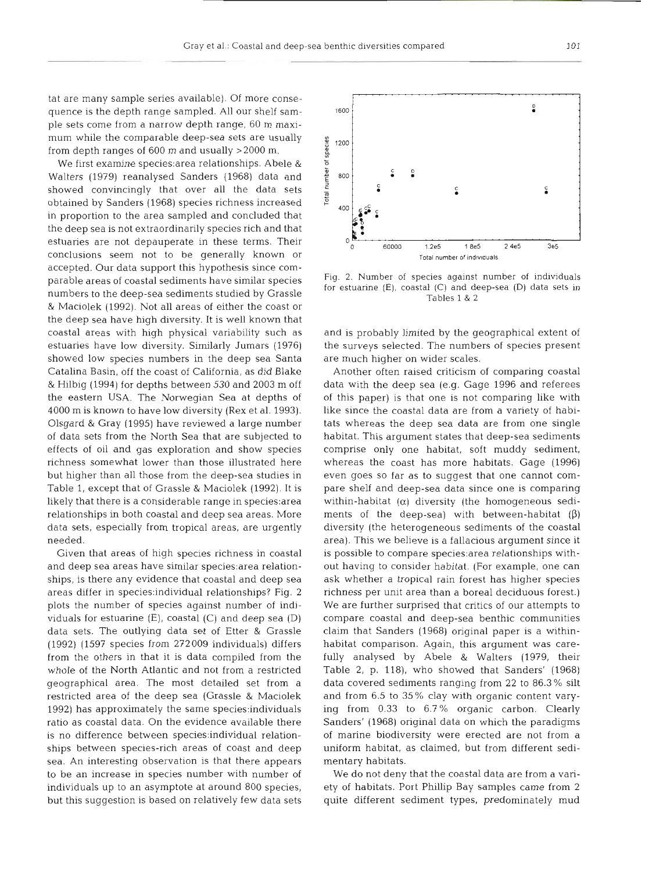tat are many sample series available). Of more consequence is the depth range sampled. All our shelf sample sets come from a narrow depth range, 60 m maximum while the comparable deep-sea sets are usually from depth ranges of 600 m and usually >2000 m.

We first examine species:area relationships. Abele & Walters (1979) reanalysed Sanders (1968) data and showed convincingly that over all the data sets obtained by Sanders (1968) species richness increased in proportion to the area sampled and concluded that the deep sea is not extraordinarily species rich and that estuaries are not depauperate in these terms. Their conclusions seem not to be generally known or accepted. Our data support this hypothesis since comparable areas of coastal sediments have similar species numbers to the deep-sea sediments studied by Grassle & Maciolek (1992). Not all areas of either the coast or the deep sea have high diversity. It is well known that coastal areas with high physical variability such as estuaries have low diversity. Similarly Jumars (1976) showed low species numbers in the deep sea Santa Catalina Basin, off the coast of California, as did Blake & Hilbig (1994) for depths between 530 and 2003 m off the eastern USA. The Norwegian Sea at depths of 4000 m is known to have low diversity (Rex et al. 1993). Olsgard & Gray (1995) have reviewed a large number of data sets from the North Sea that are subjected to effects of oil and gas exploration and show species richness somewhat lower than those illustrated h but higher than all those from the deep-sea studies in Table 1, except that of Grassle & Maciolek (1992). It is likely that there is a considerable range in species:area relationships in both coastal and deep sea areas. More data sets, especially from tropical areas, are urgently needed.

Given that areas of high species richness in coastal and deep sea areas have similar species:area relationships, is there any evidence that coastal and deep sea areas differ in species:individual relationships? Fig. 2 plots the number of species against number of individuals for estuarine (E), coastal (C) and deep sea (D) data sets. The outlying data set of Etter & Grassle (1992) (1597 species from 272009 individuals) differs from the others in that it is data compiled from the whole of the North Atlantic and not from a restric geographical area. The most detailed set from a restricted area of the deep sea (Grassle & Maciolek 1992) has approximately the same species:individuals ratio as coastal data. On the evidence available the is no difference between species:individual relationships between species-rich areas of coast and deep sea. An interesting observation is that there appears to be an increase in species number with number of individuals up to an asymptote at around 800 species, but this suggestion is based on relatively few data sets



Fig. 2. Number of species against number of individuals for estuarine (E), coastal (C) and deep-sea (D) data sets in Tables 1

and is probably limited by the geographical extent of the surveys selected. The numbers of species present are much higher on wider scales.

Another often raised criticism of comparing coastal data with the deep sea (e.g. Gage 1996 and referees of this paper) is that one is not comparing like with like since the coastal data are from a variety of habitats whereas the deep sea data are from one single habitat. This argument states that deep-sea sediments comprise only one habitat, soft muddy sediment, whereas the coast has more habitats. Gage (1996) even goes so far as to suggest that one cannot compare shelf and deep-sea data since one is comparing within-habitat  $(\alpha)$  diversity (the homogeneous sediments of the deep-sea) with between-habitat  $(\beta)$ diversity (the heterogeneous sediments of the coastal area). This we believe is a fallacious argument since it is possible to compare species:area relationships without having to consider habitat. (For example, one can ask whether a tropical rain forest has higher species richness per unit area than a boreal deciduous forest.) We are further surprised that critics of our attempts to compare coastal and deep-sea benthic communities claim that Sanders (1968) original paper is a withinhabitat comparison. Again, this argument was carefully analysed by Abele & Walters (1979, their Table 2, p. 118), who showed that Sanders' (1968) data covered sediments ranging from **22** to 86.3 % silt and from 6.5 to 35% clay with organic content varying from 0.33 to 6.7 % organic carbon. Clearly Sanders' (1968) original data on which the paradigms of marine biodiversity were erected are not from a uniform habitat, as claimed, but from different sedimentary habitats.

We do not deny that the coastal data are from a variety of habitats. Port Phillip Bay samples came from 2 quite different sediment types, predominately mud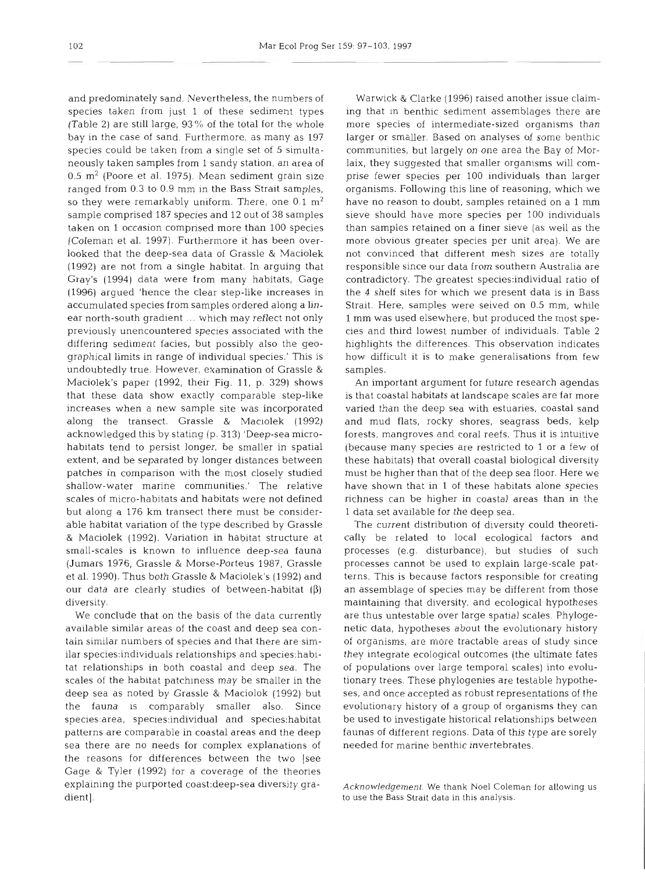and predominately sand. Nevertheless, the numbers of species taken from just 1 of these sediment types (Table 2) are still large, 93% of the total for the whole bay in the case of sand. Furthermore, as many as 197 species could be taken from a single set of 5 simultaneously taken samples from 1 sandy station, an area of  $0.5$  m<sup>2</sup> (Poore et al. 1975). Mean sediment grain size ranged from 0.3 to 0.9 mm in the Bass Strait samples, so they were remarkably uniform. There, one  $0.1 \text{ m}^2$ sample comprised 187 species and 12 out of 38 samples taken on 1 occasion comprised more than 100 species (Coleman et al. 1997). Furthermore it has been overlooked that the deep-sea data of Grassle & Maciolek (1992) are not from a single habitat. In arguing that Gray's (1994) data were from many habitats, Gage (1996) argued 'hence the clear step-like increases in accumulated species from samples ordered along a linear north-south gradient ... which may reflect not only previously unencountered species associated with the differing sediment facies, but possibly also the geographical limits in range of individual species.' This is undoubtedly true. However, examination of Grassle & Maciolek's paper (1992, their Fig. 11, p. 329) shows that these data show exactly comparable step-like increases when a new sample site was incorporated along the transect. Grassle & Maciolek (1992) acknowledged this by stating (p. 313) 'Deep-sea microhabitats tend to persist longer, be smaller in spatial extent, and be separated by longer distances between patches in comparison with the most closely studied shallow-water marine communities.' The relative scales of micro-habitats and habitats were not defined but along a 176 km transect there must be considerable habitat variation of the type described by Grassle & Maciolek (1992). Variation in habitat structure at small-scales is known to influence deep-sea fauna (Jumars 1976, Grassle & Morse-Porteus 1987, Grassle et al. 1990). Thus both Grassle & Maciolek's (1992) and our data are clearly studies of between-habitat ( $\beta$ ) diversity.

We conclude that on the basis of the data currently available similar areas of the coast and deep sea contain similar numbers of species and that there are similar species:individuals relationships and species:habitat relationships in both coastal and deep sea. The scales of the habitat patchiness may be smaller in the deep sea as noted by Grassle & Maciolok (1992) but the fauna is comparably smaller also. Since species: area, species: individual and species: habitat patterns are comparable in coastal areas and the deep sea there are no needs for complex explanations of the reasons for differences between the two [see Gage & Tyler (1992) for a coverage of the theories explaining the purported coast:deep-sea diversity gradient].

Warwick & Clarke (1996) raised another issue claiming that in benthic sediment assemblages there are more species of intermediate-sized organisms than larger or smaller. Based on analyses of some benthic communities, but largely on one area the Bay of Morlaix, they suggested that smaller organisms will comprise fewer species per 100 individuals than larger organisms. Following this line of reasoning, which we have no reason to doubt, samples retained on a 1 mm sieve should have more species per 100 individuals than samples retained on a finer sieve (as well as the more obvious greater species per unit area). We are not convinced that different mesh sizes are totally responsible since our data from southern Australia are contradictory. The greatest species:individual ratio of the 4 shelf sites for which we present data is in Bass Strait. Here, samples were seived on 0.5 mm, while 1 mm was used elsewhere, but produced the most species and third lowest number of individuals. Table 2 highlights the differences. This observation indicates how difficult it is to make generalisations from few samples.

An important argument for future research agendas is that coastal habitats at landscape scales are far more varied than the deep sea with estuaries, coastal sand and mud flats, rocky shores, seagrass beds, kelp forests, mangroves and coral reefs. Thus it is intuitive (because many species are restricted to 1 or a few of these habitats) that overall coastal biological diversity must be higher than that of the deep sea floor. Here we have shown that in 1 of these habitats alone species richness can be higher in coastal areas than in the 1 data set available for the deep sea.

The current distribution of diversity could theoretically be related to local ecological factors and processes (e.g. disturbance), but studies of such processes cannot be used to explain large-scale patterns. This is because factors responsible for creating an assemblage of species may be different from those maintaining that diversity, and ecological hypotheses are thus untestable over large spatial scales. Phylogenetic data, hypotheses about the evolutionary history oi organisms, are more tractable areas of study since they integrate ecological outcomes (the ultimate fates of populations over large temporal scales) into evolutionary trees. These phylogenies are testable hypotheses, and once accepted as robust representations of the evolutionary history of a group of organisms they can be used to investigate historical relationships between faunas of different regions. Data of this type are sorely needed for marine benthic invertebrates.

*Acknowledgement.* We thank Noel Coleman for allowing us to use the Bass Strait data in this analysis.